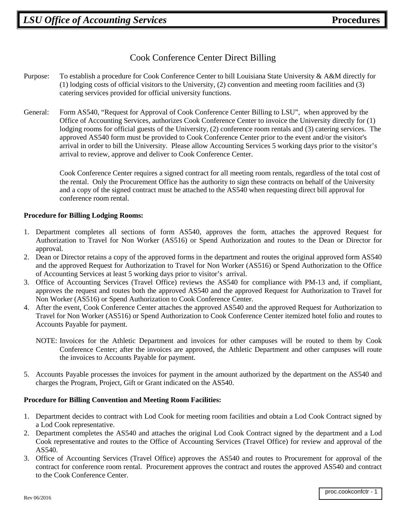## Cook Conference Center Direct Billing

- Purpose: To establish a procedure for Cook Conference Center to bill Louisiana State University & A&M directly for (1) lodging costs of official visitors to the University, (2) convention and meeting room facilities and (3) catering services provided for official university functions.
- General: Form AS540, "Request for Approval of Cook Conference Center Billing to LSU", when approved by the Office of Accounting Services, authorizes Cook Conference Center to invoice the University directly for (1) lodging rooms for official guests of the University, (2) conference room rentals and (3) catering services. The approved AS540 form must be provided to Cook Conference Center prior to the event and/or the visitor's arrival in order to bill the University. Please allow Accounting Services 5 working days prior to the visitor's arrival to review, approve and deliver to Cook Conference Center.

Cook Conference Center requires a signed contract for all meeting room rentals, regardless of the total cost of the rental. Only the Procurement Office has the authority to sign these contracts on behalf of the University and a copy of the signed contract must be attached to the AS540 when requesting direct bill approval for conference room rental.

## **Procedure for Billing Lodging Rooms:**

- 1. Department completes all sections of form AS540, approves the form, attaches the approved Request for Authorization to Travel for Non Worker (AS516) or Spend Authorization and routes to the Dean or Director for approval.
- 2. Dean or Director retains a copy of the approved forms in the department and routes the original approved form AS540 and the approved Request for Authorization to Travel for Non Worker (AS516) or Spend Authorization to the Office of Accounting Services at least 5 working days prior to visitor's arrival.
- 3. Office of Accounting Services (Travel Office) reviews the AS540 for compliance with PM-13 and, if compliant, approves the request and routes both the approved AS540 and the approved Request for Authorization to Travel for Non Worker (AS516) or Spend Authorization to Cook Conference Center.
- 4. After the event, Cook Conference Center attaches the approved AS540 and the approved Request for Authorization to Travel for Non Worker (AS516) or Spend Authorization to Cook Conference Center itemized hotel folio and routes to Accounts Payable for payment.
	- NOTE: Invoices for the Athletic Department and invoices for other campuses will be routed to them by Cook Conference Center; after the invoices are approved, the Athletic Department and other campuses will route the invoices to Accounts Payable for payment.
- 5. Accounts Payable processes the invoices for payment in the amount authorized by the department on the AS540 and charges the Program, Project, Gift or Grant indicated on the AS540.

## **Procedure for Billing Convention and Meeting Room Facilities:**

- 1. Department decides to contract with Lod Cook for meeting room facilities and obtain a Lod Cook Contract signed by a Lod Cook representative.
- 2. Department completes the AS540 and attaches the original Lod Cook Contract signed by the department and a Lod Cook representative and routes to the Office of Accounting Services (Travel Office) for review and approval of the AS540.
- 3. Office of Accounting Services (Travel Office) approves the AS540 and routes to Procurement for approval of the contract for conference room rental. Procurement approves the contract and routes the approved AS540 and contract to the Cook Conference Center.